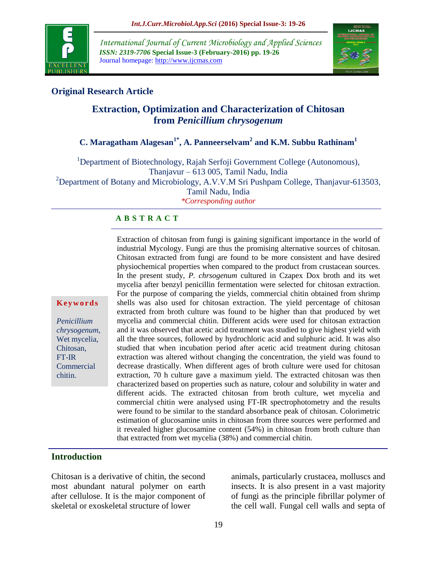

*International Journal of Current Microbiology and Applied Sciences ISSN: 2319-7706* **Special Issue-3 (February-2016) pp. 19-26** Journal homepage: http://www.ijcmas.com



# **Original Research Article**

# **Extraction, Optimization and Characterization of Chitosan from** *Penicillium chrysogenum*

# **C. Maragatham Alagesan1\* , A. Panneerselvam<sup>2</sup> and K.M. Subbu Rathinam<sup>1</sup>**

<sup>1</sup>Department of Biotechnology, Rajah Serfoji Government College (Autonomous), Thanjavur – 613 005, Tamil Nadu, India <sup>2</sup>Department of Botany and Microbiology, A.V.V.M Sri Pushpam College, Thanjavur-613503, Tamil Nadu, India *\*Corresponding author*

# **A B S T R A C T**

Extraction of chitosan from fungi is gaining significant importance in the world of industrial Mycology. Fungi are thus the promising alternative sources of chitosan. Chitosan extracted from fungi are found to be more consistent and have desired physiochemical properties when compared to the product from crustacean sources. In the present study, *P. chrsogenum* cultured in Czapex Dox broth and its wet mycelia after benzyl penicillin fermentation were selected for chitosan extraction. For the purpose of comparing the yields, commercial chitin obtained from shrimp shells was also used for chitosan extraction. The yield percentage of chitosan extracted from broth culture was found to be higher than that produced by wet mycelia and commercial chitin. Different acids were used for chitosan extraction and it was observed that acetic acid treatment was studied to give highest yield with all the three sources, followed by hydrochloric acid and sulphuric acid. It was also studied that when incubation period after acetic acid treatment during chitosan extraction was altered without changing the concentration, the yield was found to decrease drastically. When different ages of broth culture were used for chitosan extraction, 70 h culture gave a maximum yield. The extracted chitosan was then characterized based on properties such as nature, colour and solubility in water and different acids. The extracted chitosan from broth culture, wet mycelia and commercial chitin were analysed using FT-IR spectrophotometry and the results were found to be similar to the standard absorbance peak of chitosan. Colorimetric estimation of glucosamine units in chitosan from three sources were performed and it revealed higher glucosamine content (54%) in chitosan from broth culture than that extracted from wet mycelia (38%) and commercial chitin.

# **Introduction**

**K e y w o r d s**

*Penicillium chrysogenum*, Wet mycelia, Chitosan, FT-IR **Commercial** chitin.

Chitosan is a derivative of chitin, the second most abundant natural polymer on earth after cellulose. It is the major component of skeletal or exoskeletal structure of lower

animals, particularly crustacea, molluscs and insects. It is also present in a vast majority of fungi as the principle fibrillar polymer of the cell wall. Fungal cell walls and septa of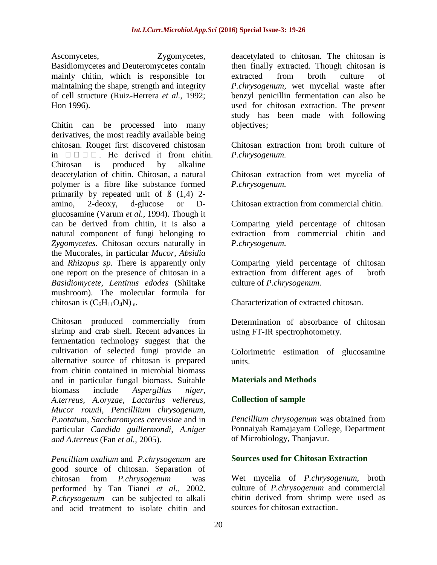Ascomycetes, Zygomycetes, Basidiomycetes and Deuteromycetes contain mainly chitin, which is responsible for maintaining the shape, strength and integrity of cell structure (Ruiz-Herrera *et al.,* 1992; Hon 1996).

Chitin can be processed into many derivatives, the most readily available being chitosan. Rouget first discovered chistosan in  $\Box$   $\Box$   $\Box$  He derived it from chitin. Chitosan is produced by alkaline deacetylation of chitin. Chitosan, a natural polymer is a fibre like substance formed primarily by repeated unit of ß (1,4) 2 amino, 2-deoxy, d-glucose or Dglucosamine (Varum *et al.,* 1994). Though it can be derived from chitin, it is also a natural component of fungi belonging to *Zygomycetes.* Chitosan occurs naturally in the Mucorales, in particular *Mucor, Absidia*  and *Rhizopus sp.* There is apparently only one report on the presence of chitosan in a *Basidiomycete, Lentinus edodes* (Shiitake mushroom). The molecular formula for chitosan is  $(C_6H_{11}O_4N)_n$ .

Chitosan produced commercially from shrimp and crab shell. Recent advances in fermentation technology suggest that the cultivation of selected fungi provide an alternative source of chitosan is prepared from chitin contained in microbial biomass and in particular fungal biomass. Suitable biomass include *Aspergillus niger, A.terreus, A.oryzae, Lactarius vellereus, Mucor rouxii, Pencilliium chrysogenum, P.notatum, Saccharomyces cerevisiae* and in particular *Candida guillermondi, A.niger and A.terreus* (Fan *et al.,* 2005).

*Pencillium oxalium* and *P.chrysogenum* are good source of chitosan. Separation of chitosan from *P.chrysogenum* was performed by Tan Tianei *et al.,* 2002. *P.chrysogenum* can be subjected to alkali and acid treatment to isolate chitin and deacetylated to chitosan. The chitosan is then finally extracted. Though chitosan is extracted from broth culture of *P.chrysogenum,* wet mycelial waste after benzyl penicillin fermentation can also be used for chitosan extraction. The present study has been made with following objectives;

Chitosan extraction from broth culture of *P.chrysogenum.*

Chitosan extraction from wet mycelia of *P.chrysogenum.*

Chitosan extraction from commercial chitin.

Comparing yield percentage of chitosan extraction from commercial chitin and *P.chrysogenum.*

Comparing yield percentage of chitosan extraction from different ages of broth culture of *P.chrysogenum.*

Characterization of extracted chitosan.

Determination of absorbance of chitosan using FT-IR spectrophotometry.

Colorimetric estimation of glucosamine units.

# **Materials and Methods**

# **Collection of sample**

*Pencillium chrysogenum* was obtained from Ponnaiyah Ramajayam College, Department of Microbiology, Thanjavur.

# **Sources used for Chitosan Extraction**

Wet mycelia of *P.chrysogenum,* broth culture of *P.chrysogenum* and commercial chitin derived from shrimp were used as sources for chitosan extraction.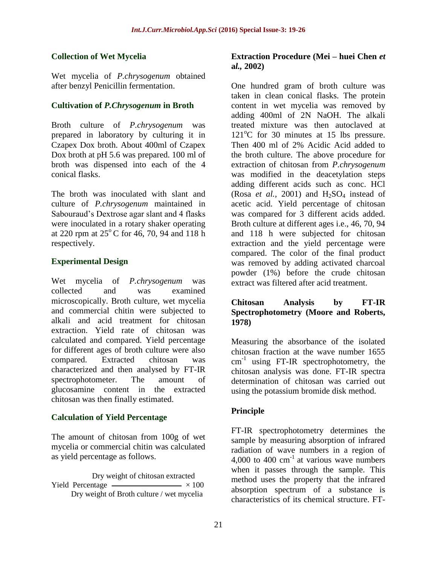# **Collection of Wet Mycelia**

Wet mycelia of *P.chrysogenum* obtained after benzyl Penicillin fermentation.

# **Cultivation of** *P.Chrysogenum* **in Broth**

Broth culture of *P.chrysogenum* was prepared in laboratory by culturing it in Czapex Dox broth. About 400ml of Czapex Dox broth at pH 5.6 was prepared. 100 ml of broth was dispensed into each of the 4 conical flasks.

The broth was inoculated with slant and culture of *P.chrysogenum* maintained in Sabouraud's Dextrose agar slant and 4 flasks were inoculated in a rotary shaker operating at 220 rpm at  $25^{\circ}$ C for 46, 70, 94 and 118 h respectively.

# **Experimental Design**

Wet mycelia of *P.chrysogenum* was collected and was examined microscopically. Broth culture, wet mycelia and commercial chitin were subjected to alkali and acid treatment for chitosan extraction. Yield rate of chitosan was calculated and compared. Yield percentage for different ages of broth culture were also compared. Extracted chitosan was characterized and then analysed by FT-IR spectrophotometer. The amount of glucosamine content in the extracted chitosan was then finally estimated.

# **Calculation of Yield Percentage**

The amount of chitosan from 100g of wet mycelia or commercial chitin was calculated as yield percentage as follows.

 Dry weight of chitosan extracted Yield Percentage  $\sim$   $\times$  100 Dry weight of Broth culture / wet mycelia

#### **Extraction Procedure (Mei – huei Chen** *et* **a***l.,* **2002)**

One hundred gram of broth culture was taken in clean conical flasks. The protein content in wet mycelia was removed by adding 400ml of 2N NaOH. The alkali treated mixture was then autoclaved at  $121^{\circ}$ C for 30 minutes at 15 lbs pressure. Then 400 ml of 2% Acidic Acid added to the broth culture. The above procedure for extraction of chitosan from *P.chrysogenum*  was modified in the deacetylation steps adding different acids such as conc. HCl (Rosa *et al.*, 2001) and  $H_2SO_4$  instead of acetic acid. Yield percentage of chitosan was compared for 3 different acids added. Broth culture at different ages i.e., 46, 70, 94 and 118 h were subjected for chitosan extraction and the yield percentage were compared. The color of the final product was removed by adding activated charcoal powder (1%) before the crude chitosan extract was filtered after acid treatment.

# **Chitosan Analysis by FT-IR Spectrophotometry (Moore and Roberts, 1978)**

Measuring the absorbance of the isolated chitosan fraction at the wave number 1655  $cm^{-1}$  using FT-IR spectrophotometry, the chitosan analysis was done. FT-IR spectra determination of chitosan was carried out using the potassium bromide disk method.

# **Principle**

FT-IR spectrophotometry determines the sample by measuring absorption of infrared radiation of wave numbers in a region of 4,000 to 400  $\text{cm}^{-1}$  at various wave numbers when it passes through the sample. This method uses the property that the infrared absorption spectrum of a substance is characteristics of its chemical structure. FT-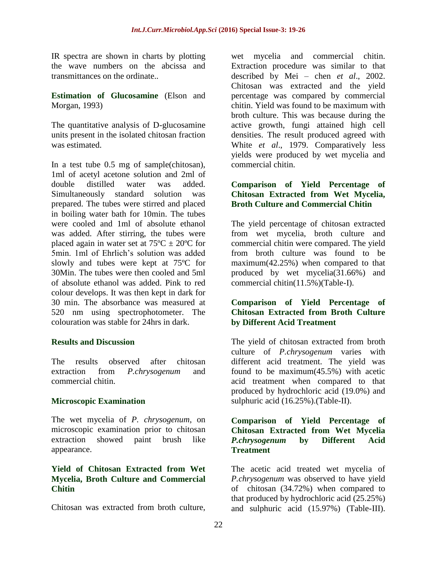IR spectra are shown in charts by plotting the wave numbers on the abcissa and transmittances on the ordinate..

**Estimation of Glucosamine** (Elson and Morgan, 1993)

The quantitative analysis of D-glucosamine units present in the isolated chitosan fraction was estimated.

In a test tube 0.5 mg of sample(chitosan), 1ml of acetyl acetone solution and 2ml of double distilled water was added. Simultaneously standard solution was prepared. The tubes were stirred and placed in boiling water bath for 10min. The tubes were cooled and 1ml of absolute ethanol was added. After stirring, the tubes were placed again in water set at  $75^{\circ}$ C  $\pm$  20<sup>o</sup>C for 5min. 1ml of Ehrlich's solution was added slowly and tubes were kept at 75ºC for 30Min. The tubes were then cooled and 5ml of absolute ethanol was added. Pink to red colour develops. It was then kept in dark for 30 min. The absorbance was measured at 520 nm using spectrophotometer. The colouration was stable for 24hrs in dark.

# **Results and Discussion**

The results observed after chitosan extraction from *P.chrysogenum* and commercial chitin.

# **Microscopic Examination**

The wet mycelia of *P. chrysogenum*, on microscopic examination prior to chitosan extraction showed paint brush like appearance.

#### **Yield of Chitosan Extracted from Wet Mycelia, Broth Culture and Commercial Chitin**

Chitosan was extracted from broth culture,

wet mycelia and commercial chitin. Extraction procedure was similar to that described by Mei – chen *et al*., 2002. Chitosan was extracted and the yield percentage was compared by commercial chitin. Yield was found to be maximum with broth culture. This was because during the active growth, fungi attained high cell densities. The result produced agreed with White *et al*., 1979. Comparatively less yields were produced by wet mycelia and commercial chitin.

# **Comparison of Yield Percentage of Chitosan Extracted from Wet Mycelia, Broth Culture and Commercial Chitin**

The yield percentage of chitosan extracted from wet mycelia, broth culture and commercial chitin were compared. The yield from broth culture was found to be maximum(42.25%) when compared to that produced by wet mycelia(31.66%) and commercial chitin(11.5%)(Table-I).

# **Comparison of Yield Percentage of Chitosan Extracted from Broth Culture by Different Acid Treatment**

The yield of chitosan extracted from broth culture of *P.chrysogenum* varies with different acid treatment. The yield was found to be maximum(45.5%) with acetic acid treatment when compared to that produced by hydrochloric acid (19.0%) and sulphuric acid (16.25%).(Table-II).

#### **Comparison of Yield Percentage of Chitosan Extracted from Wet Mycelia**  *P.chrysogenum* **by Different Acid Treatment**

The acetic acid treated wet mycelia of *P.chrysogenum* was observed to have yield of chitosan (34.72%) when compared to that produced by hydrochloric acid (25.25%) and sulphuric acid (15.97%) (Table-III).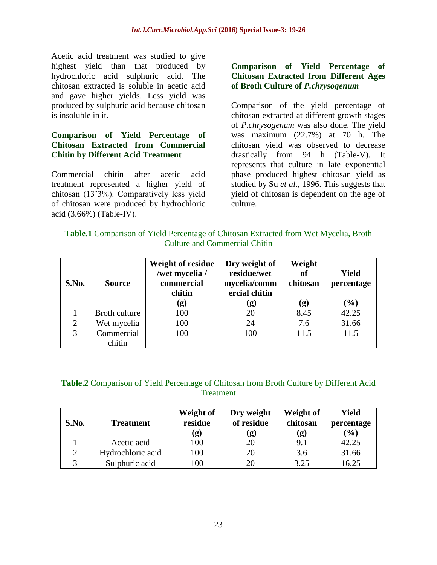Acetic acid treatment was studied to give highest yield than that produced by hydrochloric acid sulphuric acid. The chitosan extracted is soluble in acetic acid and gave higher yields. Less yield was produced by sulphuric acid because chitosan is insoluble in it.

# **Comparison of Yield Percentage of Chitosan Extracted from Commercial Chitin by Different Acid Treatment**

Commercial chitin after acetic acid treatment represented a higher yield of chitosan (13'3%). Comparatively less yield of chitosan were produced by hydrochloric acid (3.66%) (Table-IV).

# **Comparison of Yield Percentage of Chitosan Extracted from Different Ages of Broth Culture of** *P.chrysogenum*

Comparison of the yield percentage of chitosan extracted at different growth stages of *P.chrysogenum* was also done. The yield was maximum (22.7%) at 70 h. The chitosan yield was observed to decrease drastically from 94 h (Table-V). It represents that culture in late exponential phase produced highest chitosan yield as studied by Su *et al*., 1996. This suggests that yield of chitosan is dependent on the age of culture.

# **Table.1** Comparison of Yield Percentage of Chitosan Extracted from Wet Mycelia, Broth Culture and Commercial Chitin

| S.No. | <b>Source</b>        | <b>Weight of residue</b><br>/wet mycelia /<br>commercial<br>chitin<br>(g) | Dry weight of<br>residue/wet<br>mycelia/comm<br>ercial chitin<br>$\left( \mathbf{g}\right)$ | Weight<br>of<br>chitosan<br>(g) | Yield<br>percentage<br>$(\%)$ |
|-------|----------------------|---------------------------------------------------------------------------|---------------------------------------------------------------------------------------------|---------------------------------|-------------------------------|
|       | Broth culture        | 100                                                                       | 20                                                                                          | 8.45                            | 42.25                         |
| 2     | Wet mycelia          | 100                                                                       | 24                                                                                          | 7.6                             | 31.66                         |
| 3     | Commercial<br>chitin | 100                                                                       | 100                                                                                         | 11.5                            | 11.5                          |

# **Table.2** Comparison of Yield Percentage of Chitosan from Broth Culture by Different Acid **Treatment**

| S.No. | <b>Treatment</b>  | Weight of<br>residue<br>(g) | Dry weight<br>of residue<br>g) | Weight of<br>chitosan<br>(g) | Yield<br>percentage<br>(%) |
|-------|-------------------|-----------------------------|--------------------------------|------------------------------|----------------------------|
|       | Acetic acid       | 100                         | 20                             | 9.1                          | 42.25                      |
|       | Hydrochloric acid | 100                         | 20                             | 3.6                          | 31.66                      |
|       | Sulphuric acid    | 100                         | 20                             | 3.25                         | 16.25                      |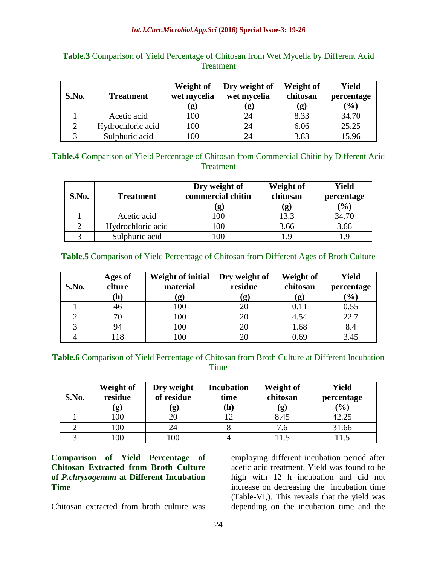| S.No. | <b>Treatment</b>  | Weight of<br>wet mycelia<br>$\mathbf{g}$ | Dry weight of<br>wet mycelia<br>(g) | Weight of<br>chitosan<br>(g) | Yield<br>percentage<br>(%) |
|-------|-------------------|------------------------------------------|-------------------------------------|------------------------------|----------------------------|
|       | Acetic acid       | 100                                      | 24                                  | 8.33                         | 34.70                      |
|       | Hydrochloric acid | 100                                      | 24                                  | 6.06                         | 25.25                      |
|       | Sulphuric acid    | 100                                      | 24                                  | 3.83                         | 15.96                      |

# **Table.3** Comparison of Yield Percentage of Chitosan from Wet Mycelia by Different Acid **Treatment**

### **Table.4** Comparison of Yield Percentage of Chitosan from Commercial Chitin by Different Acid **Treatment**

| S.No. | <b>Treatment</b>  | Dry weight of<br>commercial chitin<br>g) | Weight of<br>chitosan<br>(g) | <b>Yield</b><br>percentage<br>$\left( \frac{0}{0} \right)$ |
|-------|-------------------|------------------------------------------|------------------------------|------------------------------------------------------------|
|       | Acetic acid       | 100                                      | 13.3                         | 34.70                                                      |
|       | Hydrochloric acid | l00                                      | 3.66                         | 3.66                                                       |
|       | Sulphuric acid    |                                          | l.9                          |                                                            |

**Table.5** Comparison of Yield Percentage of Chitosan from Different Ages of Broth Culture

| S.No. | Ages of<br>clture | <b>Weight of initial</b><br>material | Dry weight of<br>residue | Weight of<br>chitosan | <b>Yield</b><br>percentage |
|-------|-------------------|--------------------------------------|--------------------------|-----------------------|----------------------------|
|       | (h)               | (g)                                  | (g)                      | (g)                   | (%)                        |
|       | 46                | 100                                  |                          | 0.11                  | 0.55                       |
|       | 70                | 100                                  | 20                       | 4.54                  | 22.7                       |
|       | 94                | 100                                  |                          | 1.68                  | 8.4                        |
|       | 18                | 100                                  |                          | 0.69                  | 3.45                       |

# **Table.6** Comparison of Yield Percentage of Chitosan from Broth Culture at Different Incubation Time

| S.No. | Weight of<br>residue<br>$\bf{g}$ | Dry weight<br>of residue<br>$\left( \mathbf{g}\right)$ | <b>Incubation</b><br>time<br>h) | Weight of<br>chitosan<br>(g) | <b>Yield</b><br>percentage<br>$(\%)$ |
|-------|----------------------------------|--------------------------------------------------------|---------------------------------|------------------------------|--------------------------------------|
|       | 100                              | 20                                                     |                                 | 8.45                         | 42.25                                |
|       | 100                              | 24                                                     |                                 | 7.6                          | 31.66                                |
|       | 00                               | 100                                                    |                                 | 11.5                         |                                      |

**Comparison of Yield Percentage of Chitosan Extracted from Broth Culture of** *P.chrysogenum* **at Different Incubation Time**

Chitosan extracted from broth culture was

employing different incubation period after acetic acid treatment. Yield was found to be high with 12 h incubation and did not increase on decreasing the incubation time (Table-VI,). This reveals that the yield was depending on the incubation time and the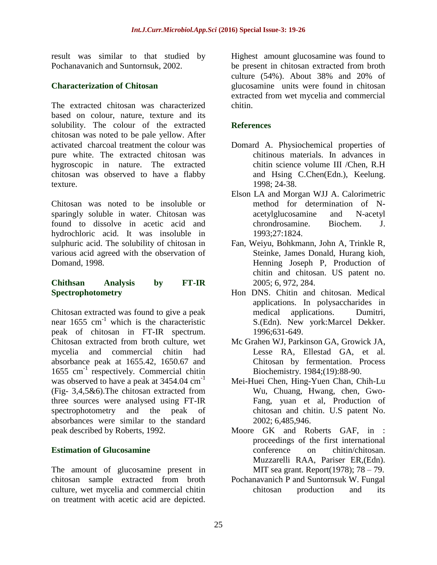result was similar to that studied by Pochanavanich and Suntornsuk, 2002.

# **Characterization of Chitosan**

The extracted chitosan was characterized based on colour, nature, texture and its solubility. The colour of the extracted chitosan was noted to be pale yellow. After activated charcoal treatment the colour was pure white. The extracted chitosan was hygroscopic in nature. The extracted chitosan was observed to have a flabby texture.

Chitosan was noted to be insoluble or sparingly soluble in water. Chitosan was found to dissolve in acetic acid and hydrochloric acid. It was insoluble in sulphuric acid. The solubility of chitosan in various acid agreed with the observation of Domand, 1998.

#### **Chithsan Analysis by FT-IR Spectrophotometry**

Chitosan extracted was found to give a peak near  $1655 \text{ cm}^{-1}$  which is the characteristic peak of chitosan in FT-IR spectrum. Chitosan extracted from broth culture, wet mycelia and commercial chitin had absorbance peak at 1655.42, 1650.67 and  $1655$  cm<sup>-1</sup> respectively. Commercial chitin was observed to have a peak at 3454.04 cm<sup>-1</sup> (Fig- 3,4,5&6).The chitosan extracted from three sources were analysed using FT-IR spectrophotometry and the peak of absorbances were similar to the standard peak described by Roberts, 1992.

# **Estimation of Glucosamine**

The amount of glucosamine present in chitosan sample extracted from broth culture, wet mycelia and commercial chitin on treatment with acetic acid are depicted.

Highest amount glucosamine was found to be present in chitosan extracted from broth culture (54%). About 38% and 20% of glucosamine units were found in chitosan extracted from wet mycelia and commercial chitin.

# **References**

- Domard A. Physiochemical properties of chitinous materials. In advances in chitin science volume III /Chen, R.H and Hsing C.Chen(Edn.), Keelung. 1998; 24-38.
- Elson LA and Morgan WJJ A. Calorimetric method for determination of Nacetylglucosamine and N-acetyl chrondrosamine. Biochem. J. 1993;27:1824.
- Fan, Weiyu, Bohkmann, John A, Trinkle R, Steinke, James Donald, Hurang kioh, Henning Joseph P, Production of chitin and chitosan. US patent no. 2005; 6, 972, 284.
- Hon DNS. Chitin and chitosan. Medical applications. In polysaccharides in medical applications. Dumitri, S.(Edn). New york:Marcel Dekker. 1996;631-649.
- Mc Grahen WJ, Parkinson GA, Growick JA, Lesse RA, Ellestad GA, et al. Chitosan by fermentation. Process Biochemistry. 1984;(19):88-90.
- Mei-Huei Chen, Hing-Yuen Chan, Chih-Lu Wu, Chuang, Hwang, chen, Gwo-Fang, yuan et al, Production of chitosan and chitin. U.S patent No. 2002; 6,485,946.
- Moore GK and Roberts GAF, in : proceedings of the first international conference on chitin/chitosan. Muzzarelli RAA, Pariser ER,(Edn). MIT sea grant. Report(1978); 78 – 79.
- Pochanavanich P and Suntornsuk W. Fungal chitosan production and its